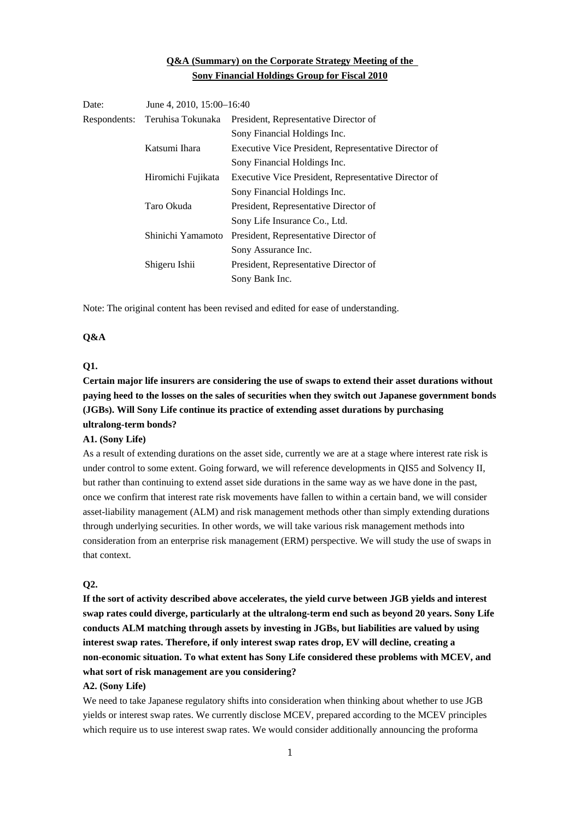# **Q&A (Summary) on the Corporate Strategy Meeting of the Sony Financial Holdings Group for Fiscal 2010**

| Date: | June 4, 2010, 15:00-16:40      |                                                      |
|-------|--------------------------------|------------------------------------------------------|
|       | Respondents: Teruhisa Tokunaka | President, Representative Director of                |
|       |                                | Sony Financial Holdings Inc.                         |
|       | Katsumi Ihara                  | Executive Vice President, Representative Director of |
|       |                                | Sony Financial Holdings Inc.                         |
|       | Hiromichi Fujikata             | Executive Vice President, Representative Director of |
|       |                                | Sony Financial Holdings Inc.                         |
|       | Taro Okuda                     | President, Representative Director of                |
|       |                                | Sony Life Insurance Co., Ltd.                        |
|       | Shinichi Yamamoto              | President, Representative Director of                |
|       |                                | Sony Assurance Inc.                                  |
|       | Shigeru Ishii                  | President, Representative Director of                |
|       |                                | Sony Bank Inc.                                       |

Note: The original content has been revised and edited for ease of understanding.

### **Q&A**

## **Q1.**

# **Certain major life insurers are considering the use of swaps to extend their asset durations without paying heed to the losses on the sales of securities when they switch out Japanese government bonds (JGBs). Will Sony Life continue its practice of extending asset durations by purchasing ultralong-term bonds?**

#### **A1. (Sony Life)**

As a result of extending durations on the asset side, currently we are at a stage where interest rate risk is under control to some extent. Going forward, we will reference developments in QIS5 and Solvency II, but rather than continuing to extend asset side durations in the same way as we have done in the past, once we confirm that interest rate risk movements have fallen to within a certain band, we will consider asset-liability management (ALM) and risk management methods other than simply extending durations through underlying securities. In other words, we will take various risk management methods into consideration from an enterprise risk management (ERM) perspective. We will study the use of swaps in that context.

#### **Q2.**

**If the sort of activity described above accelerates, the yield curve between JGB yields and interest swap rates could diverge, particularly at the ultralong-term end such as beyond 20 years. Sony Life conducts ALM matching through assets by investing in JGBs, but liabilities are valued by using interest swap rates. Therefore, if only interest swap rates drop, EV will decline, creating a non-economic situation. To what extent has Sony Life considered these problems with MCEV, and what sort of risk management are you considering?** 

### **A2. (Sony Life)**

We need to take Japanese regulatory shifts into consideration when thinking about whether to use JGB yields or interest swap rates. We currently disclose MCEV, prepared according to the MCEV principles which require us to use interest swap rates. We would consider additionally announcing the proforma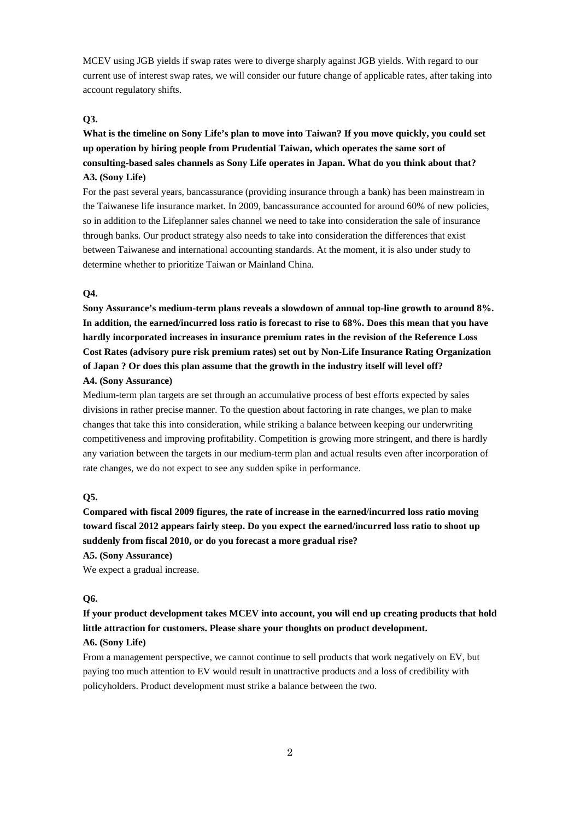MCEV using JGB yields if swap rates were to diverge sharply against JGB yields. With regard to our current use of interest swap rates, we will consider our future change of applicable rates, after taking into account regulatory shifts.

### **Q3.**

# **What is the timeline on Sony Life's plan to move into Taiwan? If you move quickly, you could set up operation by hiring people from Prudential Taiwan, which operates the same sort of consulting-based sales channels as Sony Life operates in Japan. What do you think about that? A3. (Sony Life)**

For the past several years, bancassurance (providing insurance through a bank) has been mainstream in the Taiwanese life insurance market. In 2009, bancassurance accounted for around 60% of new policies, so in addition to the Lifeplanner sales channel we need to take into consideration the sale of insurance through banks. Our product strategy also needs to take into consideration the differences that exist between Taiwanese and international accounting standards. At the moment, it is also under study to determine whether to prioritize Taiwan or Mainland China.

## **Q4.**

**Sony Assurance's medium-term plans reveals a slowdown of annual top-line growth to around 8%. In addition, the earned/incurred loss ratio is forecast to rise to 68%. Does this mean that you have hardly incorporated increases in insurance premium rates in the revision of the Reference Loss Cost Rates (advisory pure risk premium rates) set out by Non-Life Insurance Rating Organization of Japan ? Or does this plan assume that the growth in the industry itself will level off?** 

## **A4. (Sony Assurance)**

Medium-term plan targets are set through an accumulative process of best efforts expected by sales divisions in rather precise manner. To the question about factoring in rate changes, we plan to make changes that take this into consideration, while striking a balance between keeping our underwriting competitiveness and improving profitability. Competition is growing more stringent, and there is hardly any variation between the targets in our medium-term plan and actual results even after incorporation of rate changes, we do not expect to see any sudden spike in performance.

## **Q5.**

# **Compared with fiscal 2009 figures, the rate of increase in the earned/incurred loss ratio moving toward fiscal 2012 appears fairly steep. Do you expect the earned/incurred loss ratio to shoot up suddenly from fiscal 2010, or do you forecast a more gradual rise?**

### **A5. (Sony Assurance)**

We expect a gradual increase.

### **Q6.**

# **If your product development takes MCEV into account, you will end up creating products that hold little attraction for customers. Please share your thoughts on product development.**

## **A6. (Sony Life)**

From a management perspective, we cannot continue to sell products that work negatively on EV, but paying too much attention to EV would result in unattractive products and a loss of credibility with policyholders. Product development must strike a balance between the two.